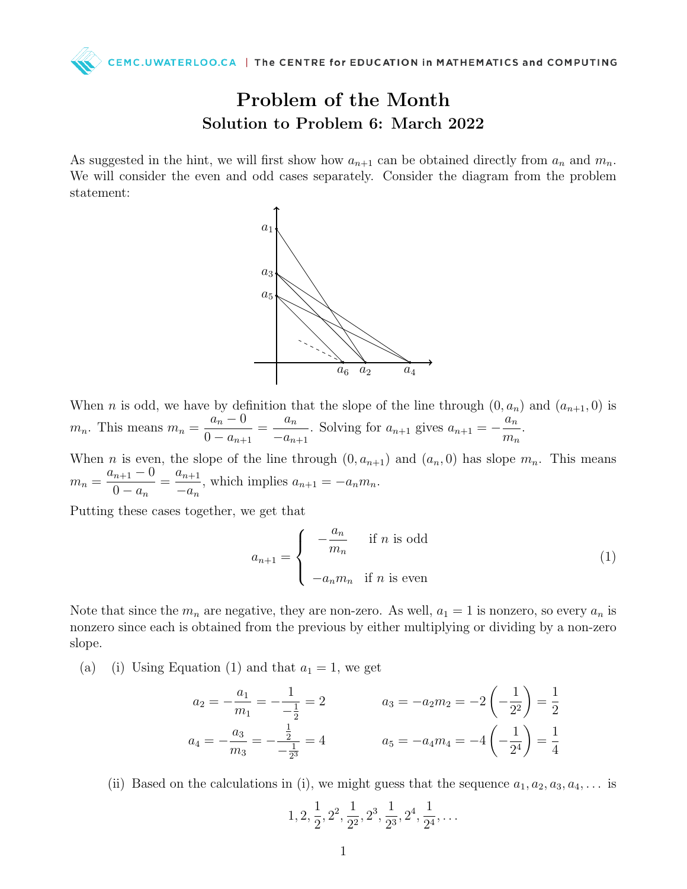CEMC.UWATERLOO.CA | The CENTRE for EDUCATION in MATHEMATICS and COMPUTING

## Problem of the Month Solution to Problem 6: March 2022

As suggested in the hint, we will first show how  $a_{n+1}$  can be obtained directly from  $a_n$  and  $m_n$ . We will consider the even and odd cases separately. Consider the diagram from the problem statement:



When *n* is odd, we have by definition that the slope of the line through  $(0, a_n)$  and  $(a_{n+1}, 0)$  is  $m_n$ . This means  $m_n =$  $a_n - 0$  $0 - a_{n+1}$  $=$  $\frac{a_n}{a_n}$  $-a_{n+1}$ . Solving for  $a_{n+1}$  gives  $a_{n+1} = -\frac{a_n}{n}$  $m_n$ .

When *n* is even, the slope of the line through  $(0, a_{n+1})$  and  $(a_n, 0)$  has slope  $m_n$ . This means  $m_n =$  $a_{n+1} - 0$  $0 - a_n$  $=\frac{a_{n+1}}{n+1}$  $-a_n$ , which implies  $a_{n+1} = -a_n m_n$ .

Putting these cases together, we get that

$$
a_{n+1} = \begin{cases} -\frac{a_n}{m_n} & \text{if } n \text{ is odd} \\ -a_n m_n & \text{if } n \text{ is even} \end{cases}
$$
 (1)

Note that since the  $m_n$  are negative, they are non-zero. As well,  $a_1 = 1$  is nonzero, so every  $a_n$  is nonzero since each is obtained from the previous by either multiplying or dividing by a non-zero slope.

(a) (i) Using Equation (1) and that  $a_1 = 1$ , we get

$$
a_2 = -\frac{a_1}{m_1} = -\frac{1}{-\frac{1}{2}} = 2
$$
  
\n
$$
a_3 = -a_2 m_2 = -2\left(-\frac{1}{2^2}\right) = \frac{1}{2}
$$
  
\n
$$
a_4 = -\frac{a_3}{m_3} = -\frac{1}{-\frac{1}{2^3}} = 4
$$
  
\n
$$
a_5 = -a_4 m_4 = -4\left(-\frac{1}{2^4}\right) = \frac{1}{4}
$$

(ii) Based on the calculations in (i), we might guess that the sequence  $a_1, a_2, a_3, a_4, \ldots$  is

$$
1, 2, \frac{1}{2}, 2^2, \frac{1}{2^2}, 2^3, \frac{1}{2^3}, 2^4, \frac{1}{2^4}, \dots
$$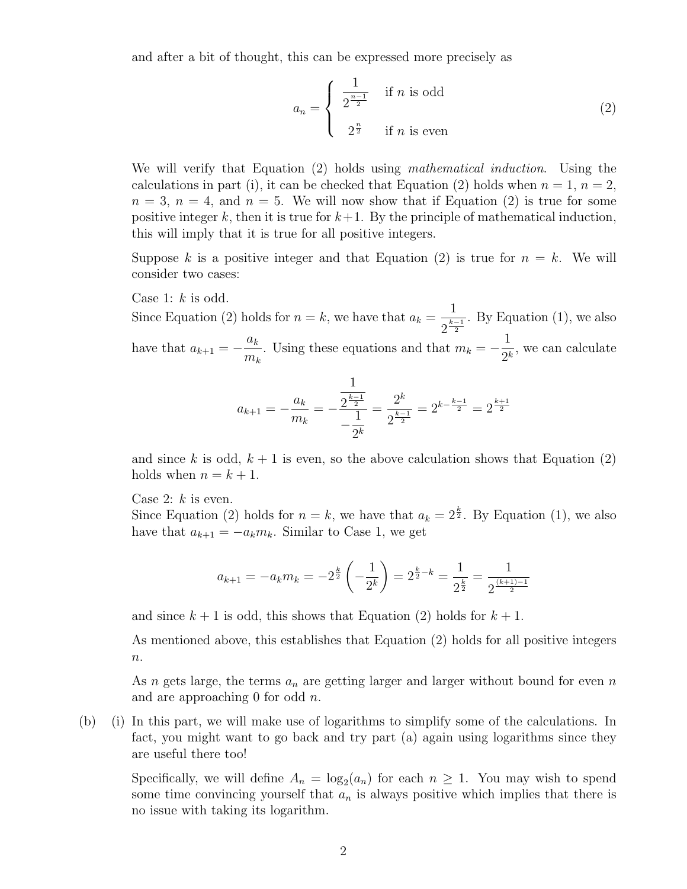and after a bit of thought, this can be expressed more precisely as

$$
a_n = \begin{cases} \frac{1}{2^{\frac{n-1}{2}}} & \text{if } n \text{ is odd} \\ 2^{\frac{n}{2}} & \text{if } n \text{ is even} \end{cases}
$$
 (2)

We will verify that Equation (2) holds using *mathematical induction*. Using the calculations in part (i), it can be checked that Equation (2) holds when  $n = 1$ ,  $n = 2$ ,  $n = 3$ ,  $n = 4$ , and  $n = 5$ . We will now show that if Equation (2) is true for some positive integer k, then it is true for  $k+1$ . By the principle of mathematical induction, this will imply that it is true for all positive integers.

Suppose k is a positive integer and that Equation (2) is true for  $n = k$ . We will consider two cases:

Case 1:  $k$  is odd.

Since Equation (2) holds for  $n = k$ , we have that  $a_k =$ 1  $2^{\frac{k-1}{2}}$ . By Equation (1), we also have that  $a_{k+1} = -\frac{a_k}{a_k}$  $m_k$ . Using these equations and that  $m_k = -\frac{1}{2k}$  $\frac{1}{2^k}$ , we can calculate

$$
a_{k+1} = -\frac{a_k}{m_k} = -\frac{\frac{1}{2^{\frac{k-1}{2}}}}{-\frac{1}{2^k}} = \frac{2^k}{2^{\frac{k-1}{2}}} = 2^{k - \frac{k-1}{2}} = 2^{\frac{k+1}{2}}
$$

and since k is odd,  $k + 1$  is even, so the above calculation shows that Equation (2) holds when  $n = k + 1$ .

Case 2:  $k$  is even.

Since Equation (2) holds for  $n = k$ , we have that  $a_k = 2^{\frac{k}{2}}$ . By Equation (1), we also have that  $a_{k+1} = -a_k m_k$ . Similar to Case 1, we get

$$
a_{k+1} = -a_k m_k = -2^{\frac{k}{2}} \left( -\frac{1}{2^k} \right) = 2^{\frac{k}{2} - k} = \frac{1}{2^{\frac{k}{2}}} = \frac{1}{2^{\frac{(k+1)-1}{2}}}
$$

and since  $k + 1$  is odd, this shows that Equation (2) holds for  $k + 1$ .

As mentioned above, this establishes that Equation (2) holds for all positive integers  $n$ .

As n gets large, the terms  $a_n$  are getting larger and larger without bound for even n and are approaching 0 for odd  $n$ .

(b) (i) In this part, we will make use of logarithms to simplify some of the calculations. In fact, you might want to go back and try part (a) again using logarithms since they are useful there too!

Specifically, we will define  $A_n = \log_2(a_n)$  for each  $n \geq 1$ . You may wish to spend some time convincing yourself that  $a_n$  is always positive which implies that there is no issue with taking its logarithm.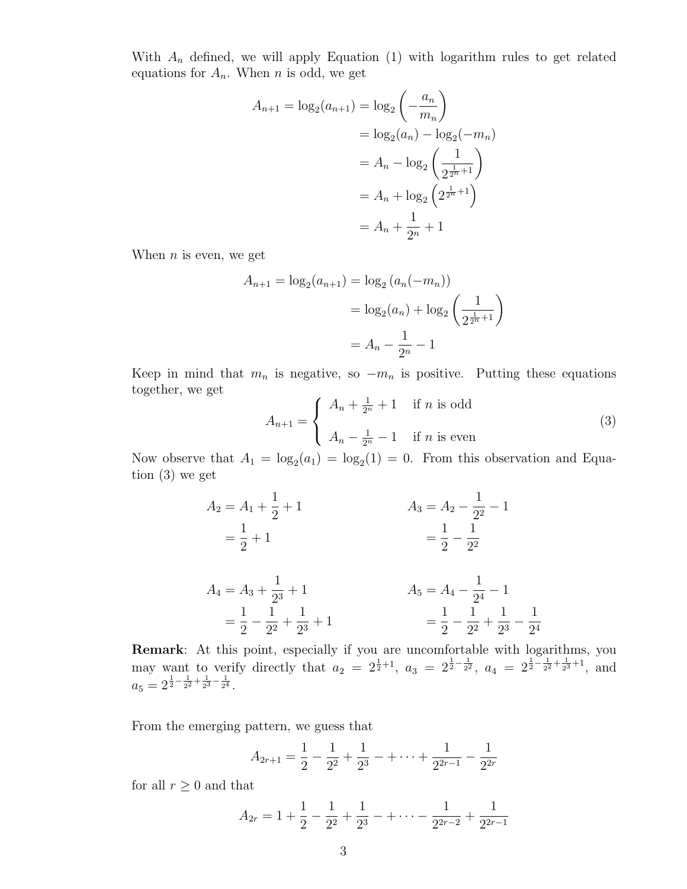With  $A_n$  defined, we will apply Equation (1) with logarithm rules to get related equations for  $A_n$ . When n is odd, we get

$$
A_{n+1} = \log_2(a_{n+1}) = \log_2\left(-\frac{a_n}{m_n}\right)
$$
  
=  $\log_2(a_n) - \log_2(-m_n)$   
=  $A_n - \log_2\left(\frac{1}{2^{\frac{1}{2^n}+1}}\right)$   
=  $A_n + \log_2\left(2^{\frac{1}{2^n}+1}\right)$   
=  $A_n + \frac{1}{2^n} + 1$ 

When  $n$  is even, we get

$$
A_{n+1} = \log_2(a_{n+1}) = \log_2(a_n(-m_n))
$$
  
=  $\log_2(a_n) + \log_2\left(\frac{1}{2^{\frac{1}{2^n}}+1}\right)$   
=  $A_n - \frac{1}{2^n} - 1$ 

Keep in mind that  $m_n$  is negative, so  $-m_n$  is positive. Putting these equations together, we get

$$
A_{n+1} = \begin{cases} A_n + \frac{1}{2^n} + 1 & \text{if } n \text{ is odd} \\ A_n - \frac{1}{2^n} - 1 & \text{if } n \text{ is even} \end{cases}
$$
 (3)

Now observe that  $A_1 = \log_2(a_1) = \log_2(1) = 0$ . From this observation and Equation (3) we get

$$
A_2 = A_1 + \frac{1}{2} + 1
$$
  
\n
$$
= \frac{1}{2} + 1
$$
  
\n
$$
A_3 = A_2 - \frac{1}{2^2} - 1
$$
  
\n
$$
= \frac{1}{2} - \frac{1}{2^2}
$$
  
\n
$$
A_4 = A_3 + \frac{1}{2^3} + 1
$$
  
\n
$$
= \frac{1}{2} - \frac{1}{2^2} + \frac{1}{2^3} + 1
$$
  
\n
$$
A_5 = A_4 - \frac{1}{2^4} - 1
$$
  
\n
$$
= \frac{1}{2} - \frac{1}{2^2} + \frac{1}{2^3} - \frac{1}{2^4}
$$

**Remark**: At this point, especially if you are uncomfortable with logarithms, you may want to verify directly that  $a_2 = 2^{\frac{1}{2}+1}$ ,  $a_3 = 2^{\frac{1}{2}-\frac{1}{2^2}}$ ,  $a_4 = 2^{\frac{1}{2}-\frac{1}{2^2}+\frac{1}{2^3}+1}$ , and  $a_5 = 2^{\frac{1}{2} - \frac{1}{2^2} + \frac{1}{2^3} - \frac{1}{2^4}}.$ 

From the emerging pattern, we guess that

$$
A_{2r+1} = \frac{1}{2} - \frac{1}{2^2} + \frac{1}{2^3} - \dots + \frac{1}{2^{2r-1}} - \frac{1}{2^{2r}}
$$

for all  $r \geq 0$  and that

$$
A_{2r} = 1 + \frac{1}{2} - \frac{1}{2^2} + \frac{1}{2^3} - \cdots - \frac{1}{2^{2r-2}} + \frac{1}{2^{2r-1}}
$$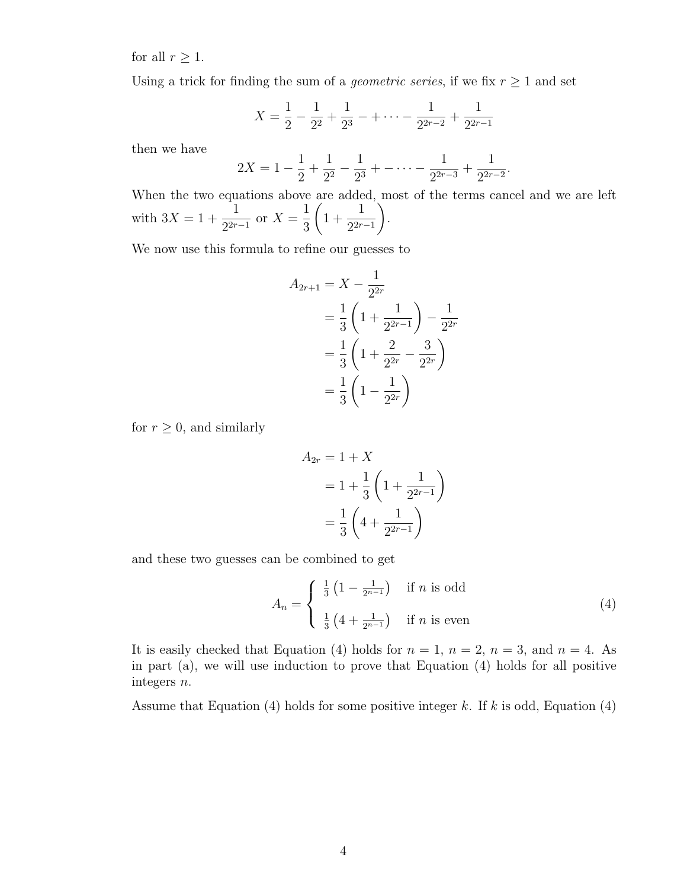for all  $r \geq 1$ .

Using a trick for finding the sum of a *geometric series*, if we fix  $r \geq 1$  and set

$$
X = \frac{1}{2} - \frac{1}{2^2} + \frac{1}{2^3} - \cdots - \frac{1}{2^{2r-2}} + \frac{1}{2^{2r-1}}
$$

then we have

$$
2X = 1 - \frac{1}{2} + \frac{1}{2^2} - \frac{1}{2^3} + \cdots - \frac{1}{2^{2r-3}} + \frac{1}{2^{2r-2}}.
$$

When the two equations above are added, most of the terms cancel and we are left with  $3X = 1 +$ 1  $\frac{1}{2^{2r-1}}$  or  $X =$ 1 3  $\sqrt{ }$ 1 + 1  $2^{2r-1}$  $\setminus$ .

We now use this formula to refine our guesses to

$$
A_{2r+1} = X - \frac{1}{2^{2r}}
$$
  
=  $\frac{1}{3} \left( 1 + \frac{1}{2^{2r-1}} \right) - \frac{1}{2^{2r}}$   
=  $\frac{1}{3} \left( 1 + \frac{2}{2^{2r}} - \frac{3}{2^{2r}} \right)$   
=  $\frac{1}{3} \left( 1 - \frac{1}{2^{2r}} \right)$ 

for  $r \geq 0$ , and similarly

$$
A_{2r} = 1 + X
$$
  
=  $1 + \frac{1}{3} \left( 1 + \frac{1}{2^{2r-1}} \right)$   
=  $\frac{1}{3} \left( 4 + \frac{1}{2^{2r-1}} \right)$ 

and these two guesses can be combined to get

$$
A_n = \begin{cases} \frac{1}{3} \left( 1 - \frac{1}{2^{n-1}} \right) & \text{if } n \text{ is odd} \\ \frac{1}{3} \left( 4 + \frac{1}{2^{n-1}} \right) & \text{if } n \text{ is even} \end{cases}
$$
(4)

It is easily checked that Equation (4) holds for  $n = 1$ ,  $n = 2$ ,  $n = 3$ , and  $n = 4$ . As in part (a), we will use induction to prove that Equation (4) holds for all positive integers n.

Assume that Equation (4) holds for some positive integer  $k$ . If  $k$  is odd, Equation (4)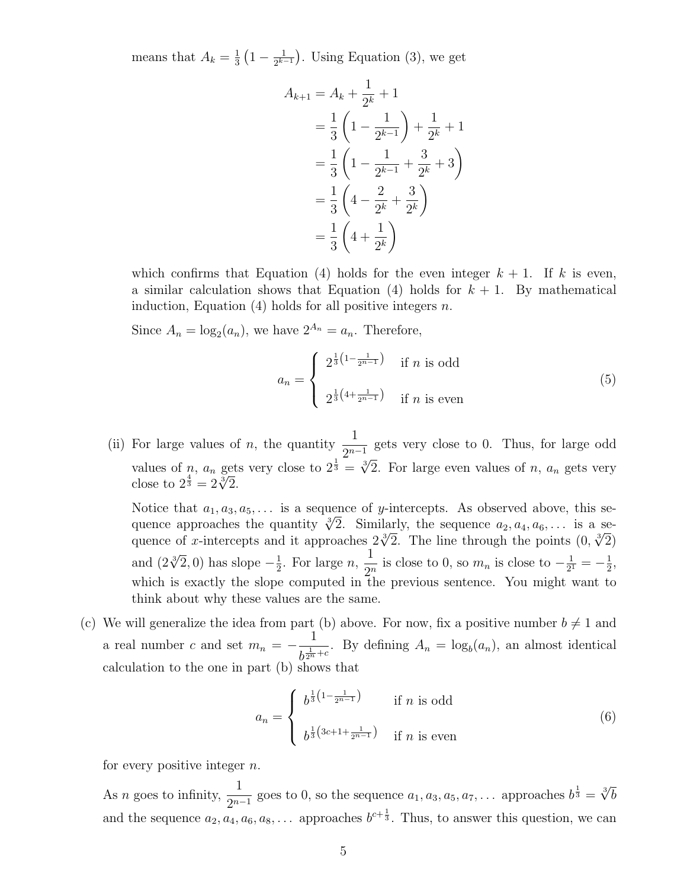means that  $A_k = \frac{1}{3}$  $\frac{1}{3}\left(1-\frac{1}{2^{k-1}}\right)$  $\frac{1}{2^{k-1}}$ . Using Equation (3), we get

$$
A_{k+1} = A_k + \frac{1}{2^k} + 1
$$
  
=  $\frac{1}{3} \left( 1 - \frac{1}{2^{k-1}} \right) + \frac{1}{2^k} + 1$   
=  $\frac{1}{3} \left( 1 - \frac{1}{2^{k-1}} + \frac{3}{2^k} + 3 \right)$   
=  $\frac{1}{3} \left( 4 - \frac{2}{2^k} + \frac{3}{2^k} \right)$   
=  $\frac{1}{3} \left( 4 + \frac{1}{2^k} \right)$ 

which confirms that Equation (4) holds for the even integer  $k + 1$ . If k is even, a similar calculation shows that Equation (4) holds for  $k + 1$ . By mathematical induction, Equation  $(4)$  holds for all positive integers n.

Since  $A_n = \log_2(a_n)$ , we have  $2^{A_n} = a_n$ . Therefore,

$$
a_n = \begin{cases} 2^{\frac{1}{3}\left(1 - \frac{1}{2^{n-1}}\right)} & \text{if } n \text{ is odd} \\ 2^{\frac{1}{3}\left(4 + \frac{1}{2^{n-1}}\right)} & \text{if } n \text{ is even} \end{cases} \tag{5}
$$

(ii) For large values of n, the quantity  $\frac{1}{2^n}$  $\frac{1}{2^{n-1}}$  gets very close to 0. Thus, for large odd values of *n*,  $a_n$  gets very close to  $2^{\frac{1}{3}} = \sqrt[3]{2}$ . For large even values of *n*,  $a_n$  gets very values or *n*,  $a_n$  get<br>close to  $2^{\frac{4}{3}} = 2\sqrt[3]{2}$ .

Notice that  $a_1, a_3, a_5, \ldots$  is a sequence of y-intercepts. As observed above, this se-Notice that  $a_1, a_3, a_5, \ldots$  is a sequence of y-intercepts. As observed above, this sequence approaches the quantity  $\sqrt[3]{2}$ . Similarly, the sequence  $a_2, a_4, a_6, \ldots$  is a sequence approacnes the quantity  $\sqrt{2}$ . Similarly, the sequence  $a_2, a_4, a_6, \ldots$  is a sequence of x-intercepts and it approaches  $2\sqrt[3]{2}$ . The line through the points  $(0, \sqrt[3]{2})$ and  $(2\sqrt[3]{2},0)$  has slope  $-\frac{1}{2}$  $\frac{1}{2}$ . For large *n*, 1  $\frac{1}{2^n}$  is close to 0, so  $m_n$  is close to  $-\frac{1}{2^n}$  $\frac{1}{2^1} = -\frac{1}{2}$  $\frac{1}{2}$ , which is exactly the slope computed in the previous sentence. You might want to think about why these values are the same.

(c) We will generalize the idea from part (b) above. For now, fix a positive number  $b \neq 1$  and a real number c and set  $m_n = -\frac{1}{1}$  $\frac{1}{b^{\frac{1}{2n}+c}}$ . By defining  $A_n = \log_b(a_n)$ , an almost identical calculation to the one in part (b) shows that

$$
a_n = \begin{cases} b^{\frac{1}{3}\left(1 - \frac{1}{2^{n-1}}\right)} & \text{if } n \text{ is odd} \\ b^{\frac{1}{3}\left(3c + 1 + \frac{1}{2^{n-1}}\right)} & \text{if } n \text{ is even} \end{cases}
$$
(6)

for every positive integer  $n$ .

As *n* goes to infinity,  $\frac{1}{2^n}$  $\frac{1}{2^{n-1}}$  goes to 0, so the sequence  $a_1, a_3, a_5, a_7, \ldots$  approaches  $b^{\frac{1}{3}} = \sqrt[3]{b}$ and the sequence  $a_2, a_4, a_6, a_8, \ldots$  approaches  $b^{c+\frac{1}{3}}$ . Thus, to answer this question, we can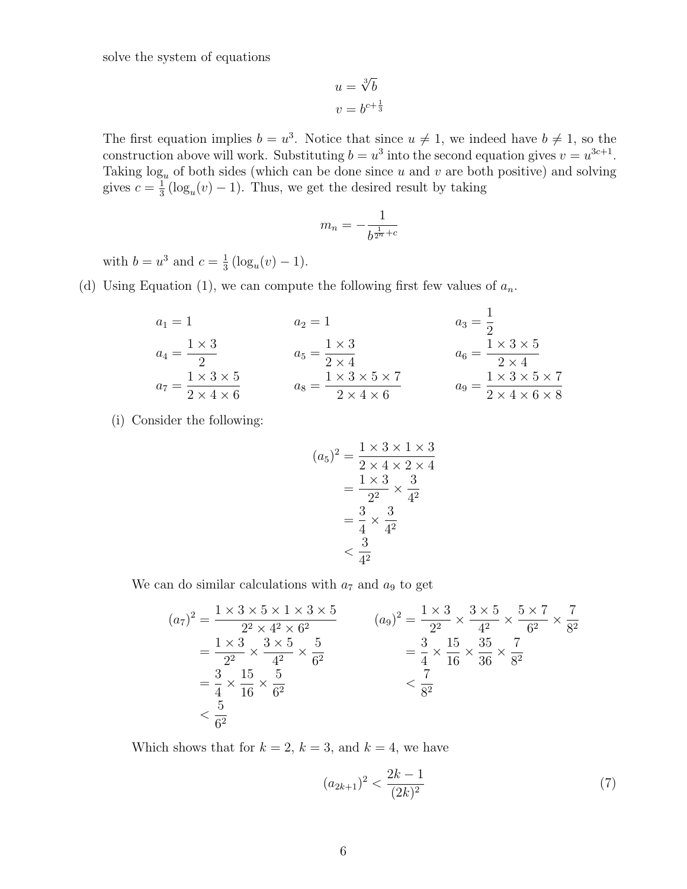solve the system of equations

$$
u = \sqrt[3]{b}
$$

$$
v = b^{c + \frac{1}{3}}
$$

The first equation implies  $b = u^3$ . Notice that since  $u \neq 1$ , we indeed have  $b \neq 1$ , so the construction above will work. Substituting  $b = u^3$  into the second equation gives  $v = u^{3c+1}$ . Taking  $log_u$  of both sides (which can be done since u and v are both positive) and solving gives  $c = \frac{1}{3}$  $\frac{1}{3}(\log_u(v)-1)$ . Thus, we get the desired result by taking

$$
m_n = -\frac{1}{b^{\frac{1}{2^n}+c}}
$$

with  $b = u^3$  and  $c = \frac{1}{3}$  $\frac{1}{3}(\log_u(v)-1).$ 

(d) Using Equation (1), we can compute the following first few values of  $a_n$ .

$$
a_1 = 1 \t a_2 = 1 \t a_3 = \frac{1}{2}
$$
  
\n
$$
a_4 = \frac{1 \times 3}{2} \t a_5 = \frac{1 \times 3}{2 \times 4} \t a_6 = \frac{1 \times 3 \times 5}{2 \times 4 \times 6}
$$
  
\n
$$
a_7 = \frac{1 \times 3 \times 5}{2 \times 4 \times 6} \t a_8 = \frac{1 \times 3 \times 5 \times 7}{2 \times 4 \times 6}
$$
  
\n
$$
a_8 = \frac{1 \times 3 \times 5 \times 7}{2 \times 4 \times 6} \t a_9 = \frac{1 \times 3 \times 5 \times 7}{2 \times 4 \times 6 \times 8}
$$

(i) Consider the following:

$$
(a_5)^2 = \frac{1 \times 3 \times 1 \times 3}{2 \times 4 \times 2 \times 4}
$$

$$
= \frac{1 \times 3}{2^2} \times \frac{3}{4^2}
$$

$$
= \frac{3}{4} \times \frac{3}{4^2}
$$

$$
< \frac{3}{4^2}
$$

We can do similar calculations with  $a_7$  and  $a_9$  to get

$$
(a_7)^2 = \frac{1 \times 3 \times 5 \times 1 \times 3 \times 5}{2^2 \times 4^2 \times 6^2}
$$
\n
$$
= \frac{1 \times 3}{2^2} \times \frac{3 \times 5}{4^2} \times \frac{5}{6^2}
$$
\n
$$
= \frac{3}{4} \times \frac{15}{16} \times \frac{5}{6^2}
$$
\n
$$
= \frac{3}{4} \times \frac{15}{16} \times \frac{5}{6^2}
$$
\n
$$
= \frac{3}{4} \times \frac{15}{16} \times \frac{5}{6^2}
$$
\n
$$
= \frac{7}{8^2}
$$
\n
$$
= \frac{7}{8^2}
$$

Which shows that for  $k = 2$ ,  $k = 3$ , and  $k = 4$ , we have

$$
(a_{2k+1})^2 < \frac{2k-1}{(2k)^2} \tag{7}
$$